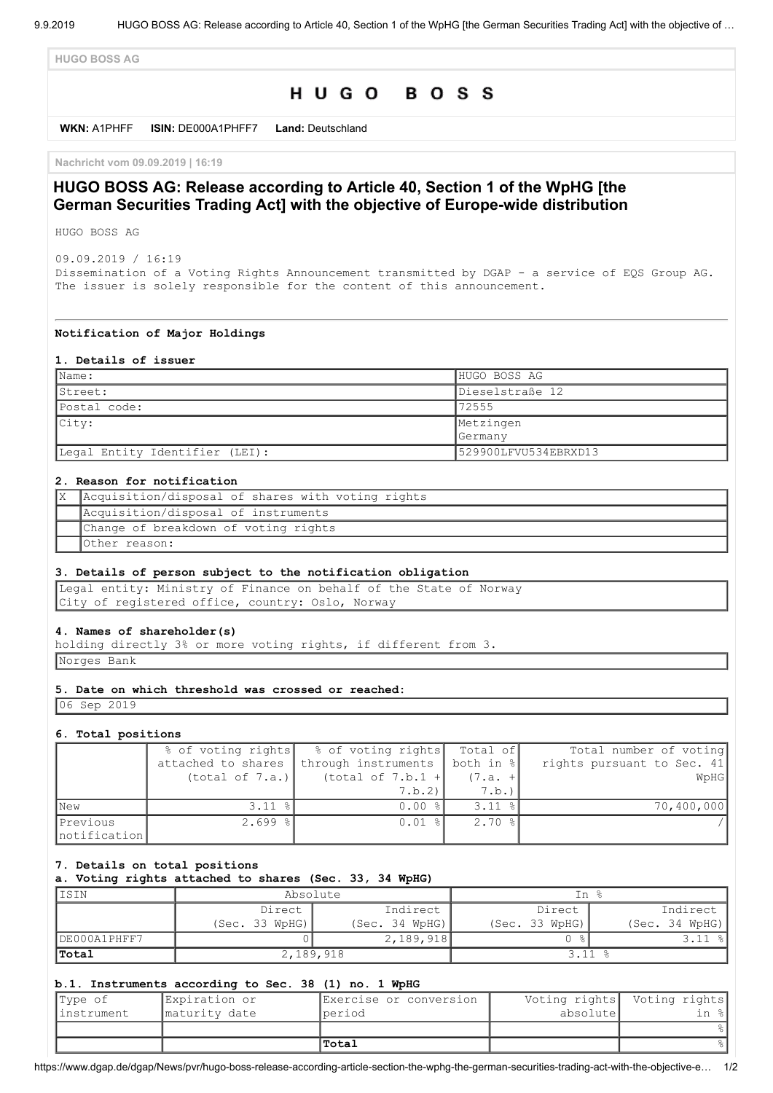**HUGO BOSS AG**

# HUGO BOSS

**WKN:** A1PHFF **ISIN:** DE000A1PHFF7 **Land:** Deutschland

**Nachricht vom 09.09.2019 | 16:19**

# **HUGO BOSS AG: Release according to Article 40, Section 1 of the WpHG [the German Securities Trading Act] with the objective of Europe-wide distribution**

HUGO BOSS AG

09.09.2019 / 16:19 Dissemination of a Voting Rights Announcement transmitted by DGAP - a service of EQS Group AG. The issuer is solely responsible for the content of this announcement.

#### **Notification of Major Holdings**

#### **1. Details of issuer**

| $\mathsf{Name:}$               | HUGO BOSS AG         |
|--------------------------------|----------------------|
| IStreet:                       | Dieselstraße 12      |
| Postal code:                   | 72555                |
| City:                          | Metzingen            |
|                                | <b>Germany</b>       |
| Legal Entity Identifier (LEI): | 529900LFVU534EBRXD13 |

# **2. Reason for notification**

| X   Acquisition/disposal of shares with voting rights |
|-------------------------------------------------------|
| Acquisition/disposal of instruments                   |
| Change of breakdown of voting rights                  |
| lOther reason:                                        |

# **3. Details of person subject to the notification obligation**

Legal entity: Ministry of Finance on behalf of the State of Norway City of registered office, country: Oslo, Norway

#### **4. Names of shareholder(s)**

holding directly 3% or more voting rights, if different from 3. Norges Bank

# **5. Date on which threshold was crossed or reached:**

06 Sep 2019

#### **6. Total positions**

|                          |                    | % of voting rights   % of voting rights   Total of |           | Total number of voting     |
|--------------------------|--------------------|----------------------------------------------------|-----------|----------------------------|
|                          | attached to shares | through instruments                                | both in % | rights pursuant to Sec. 41 |
|                          | (total of 7.a.)    | (total of $7.b.1 +$                                | $(7.a. +$ | WpHG                       |
|                          |                    | 7.b.2                                              | 7.b.      |                            |
| <b>New</b>               | $3.11$ $%$         | $0.00$ $\frac{8}{10}$                              | $3.11$ %  | 70,400,000                 |
| Previous<br>notification | $2.699$ %          | $0.01$ %                                           | $2.70$ %  |                            |

#### **7. Details on total positions**

**a. Voting rights attached to shares (Sec. 33, 34 WpHG)**

| IISIN        | Absolute       |                | In %           |                |
|--------------|----------------|----------------|----------------|----------------|
|              | Direct         | Indirect       | Direct         | Indirect       |
|              | (Sec. 33 WpHG) | (Sec. 34 WpHG) | (Sec. 33 WpHG) | (Sec. 34 WpHG) |
| DE000A1PHFF7 |                | 2,189,918      |                |                |
| Total        |                | 2,189,918      |                |                |

# **b.1. Instruments according to Sec. 38 (1) no. 1 WpHG**

| Type of     | Expiration or  | Exercise or conversion |           | Voting rights Voting rights |
|-------------|----------------|------------------------|-----------|-----------------------------|
| linstrument | Imaturity date | lperiod                | absolutel |                             |
|             |                |                        |           |                             |
|             |                | Total                  |           |                             |